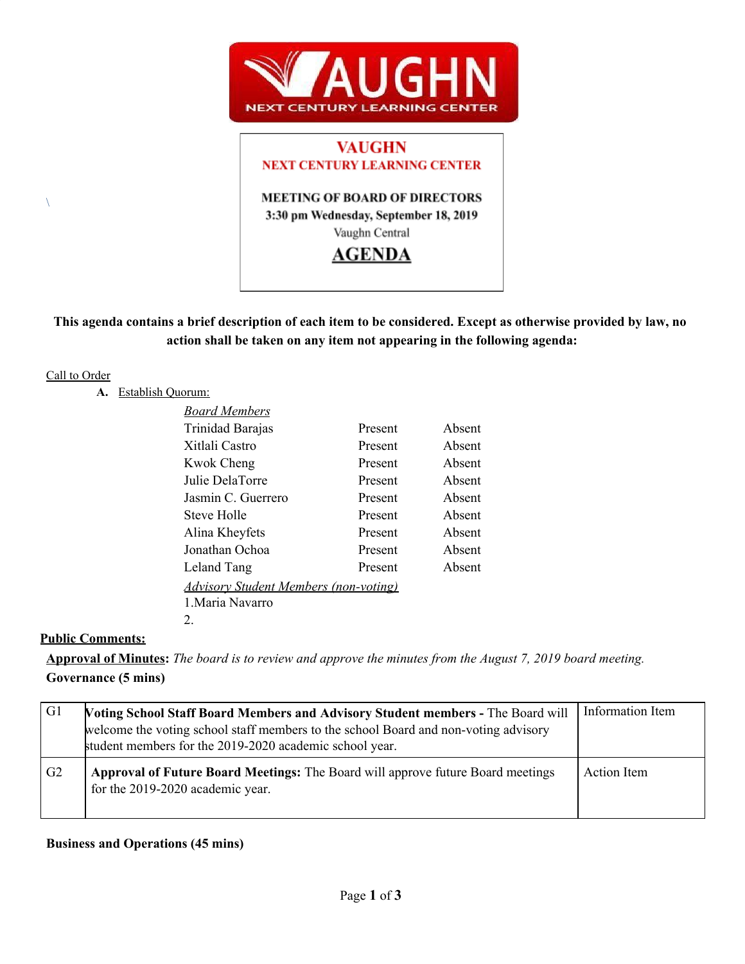

# **VAUGHN NEXT CENTURY LEARNING CENTER**

**MEETING OF BOARD OF DIRECTORS** 3:30 pm Wednesday, September 18, 2019 Vaughn Central

## **AGENDA**

## This agenda contains a brief description of each item to be considered. Except as otherwise provided by law, no **action shall be taken on any item not appearing in the following agenda:**

### Call to Order

 $\lambda$ 

**A.** Establish Quorum:

| <b>Board Members</b>                         |         |        |
|----------------------------------------------|---------|--------|
| Trinidad Barajas                             | Present | Absent |
| Xitlali Castro                               | Present | Absent |
| <b>Kwok Cheng</b>                            | Present | Absent |
| Julie DelaTorre                              | Present | Absent |
| Jasmin C. Guerrero                           | Present | Absent |
| <b>Steve Holle</b>                           | Present | Absent |
| Alina Kheyfets                               | Present | Absent |
| Jonathan Ochoa                               | Present | Absent |
| Leland Tang                                  | Present | Absent |
| <b>Advisory Student Members (non-voting)</b> |         |        |
| 1. Maria Navarro                             |         |        |
| 2.                                           |         |        |

## **Public Comments:**

Approval of Minutes: The board is to review and approve the minutes from the August 7, 2019 board meeting. **Governance (5 mins)**

| G1             | <b>Voting School Staff Board Members and Advisory Student members - The Board will</b><br>welcome the voting school staff members to the school Board and non-voting advisory<br>student members for the 2019-2020 academic school year. | Information Item |
|----------------|------------------------------------------------------------------------------------------------------------------------------------------------------------------------------------------------------------------------------------------|------------------|
| G <sub>2</sub> | <b>Approval of Future Board Meetings:</b> The Board will approve future Board meetings<br>for the 2019-2020 academic year.                                                                                                               | Action Item      |

## **Business and Operations (45 mins)**